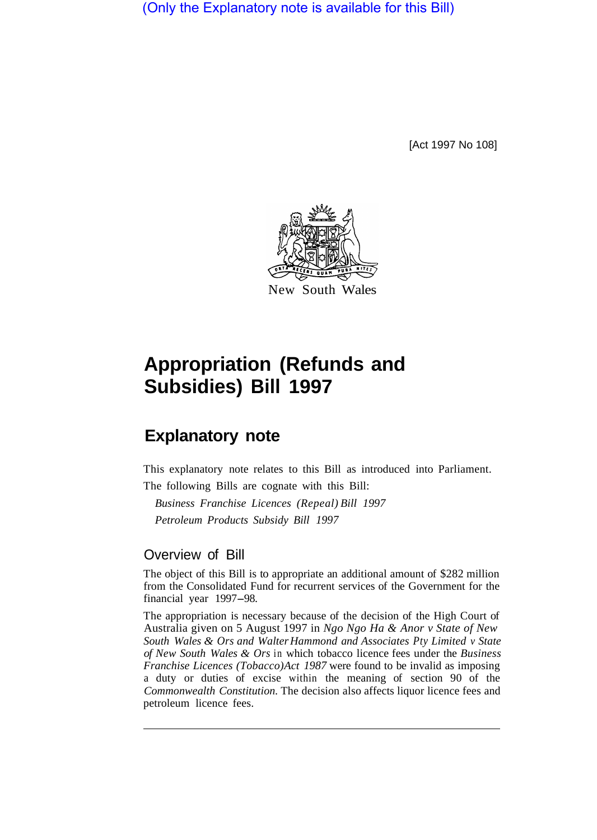(Only the Explanatory note is available for this Bill)

[Act 1997 No 108]



## **Appropriation (Refunds and Subsidies) Bill 1997**

## **Explanatory note**

This explanatory note relates to this Bill as introduced into Parliament. The following Bills are cognate with this Bill:

*Business Franchise Licences (Repeal) Bill 1997 Petroleum Products Subsidy Bill 1997* 

## Overview of Bill

The object of this Bill is to appropriate an additional amount of \$282 million from the Consolidated Fund for recurrent services of the Government for the financial year 1997-98.

The appropriation is necessary because of the decision of the High Court of Australia given on 5 August 1997 in *Ngo Ngo Ha & Anor v State of New South Wales & Ors and Walter Hammond and Associates Pty Limited v State of New South Wales & Ors* in which tobacco licence fees under the *Business Franchise Licences (Tobacco) Act 1987* were found to be invalid as imposing a duty or duties of excise within the meaning of section 90 of the *Commonwealth Constitution.* The decision also affects liquor licence fees and petroleum licence fees.